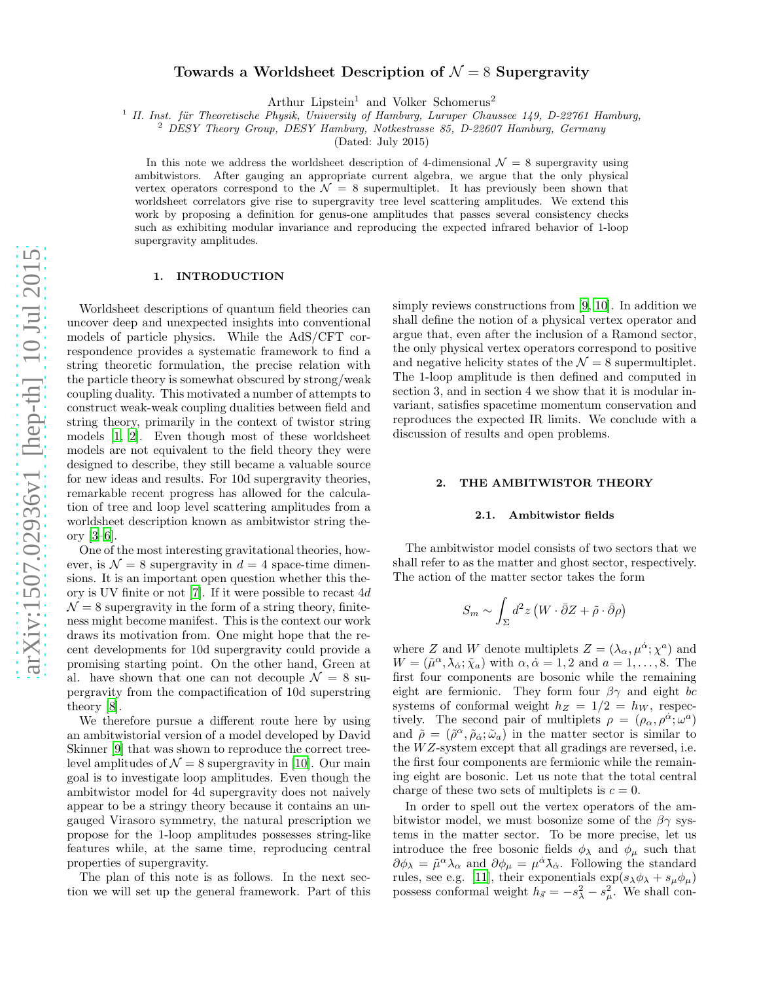# Towards a Worldsheet Description of  $\mathcal{N}=8$  Supergravity

Arthur Lipstein<sup>1</sup> and Volker Schomerus<sup>2</sup>

<sup>1</sup> II. Inst. für Theoretische Physik, University of Hamburg, Luruper Chaussee 149, D-22761 Hamburg,

<sup>2</sup> DESY Theory Group, DESY Hamburg, Notkestrasse 85, D-22607 Hamburg, Germany

(Dated: July 2015)

In this note we address the worldsheet description of 4-dimensional  $\mathcal{N} = 8$  supergravity using ambitwistors. After gauging an appropriate current algebra, we argue that the only physical vertex operators correspond to the  $\mathcal{N} = 8$  supermultiplet. It has previously been shown that worldsheet correlators give rise to supergravity tree level scattering amplitudes. We extend this work by proposing a definition for genus-one amplitudes that passes several consistency checks such as exhibiting modular invariance and reproducing the expected infrared behavior of 1-loop supergravity amplitudes.

#### 1. INTRODUCTION

Worldsheet descriptions of quantum field theories can uncover deep and unexpected insights into conventional models of particle physics. While the AdS/CFT correspondence provides a systematic framework to find a string theoretic formulation, the precise relation with the particle theory is somewhat obscured by strong/weak coupling duality. This motivated a number of attempts to construct weak-weak coupling dualities between field and string theory, primarily in the context of twistor string models [\[1,](#page-4-0) [2\]](#page-4-1). Even though most of these worldsheet models are not equivalent to the field theory they were designed to describe, they still became a valuable source for new ideas and results. For 10d supergravity theories, remarkable recent progress has allowed for the calculation of tree and loop level scattering amplitudes from a worldsheet description known as ambitwistor string theory [\[3](#page-4-2)[–6](#page-4-3)].

One of the most interesting gravitational theories, however, is  $\mathcal{N} = 8$  supergravity in  $d = 4$  space-time dimensions. It is an important open question whether this theory is UV finite or not [\[7](#page-4-4)]. If it were possible to recast 4d  $\mathcal{N}=8$  supergravity in the form of a string theory, finiteness might become manifest. This is the context our work draws its motivation from. One might hope that the recent developments for 10d supergravity could provide a promising starting point. On the other hand, Green at al. have shown that one can not decouple  $\mathcal{N} = 8$  supergravity from the compactification of 10d superstring theory [\[8\]](#page-5-0).

We therefore pursue a different route here by using an ambitwistorial version of a model developed by David Skinner [\[9\]](#page-5-1) that was shown to reproduce the correct treelevel amplitudes of  $\mathcal{N} = 8$  supergravity in [\[10\]](#page-5-2). Our main goal is to investigate loop amplitudes. Even though the ambitwistor model for 4d supergravity does not naively appear to be a stringy theory because it contains an ungauged Virasoro symmetry, the natural prescription we propose for the 1-loop amplitudes possesses string-like features while, at the same time, reproducing central properties of supergravity.

The plan of this note is as follows. In the next section we will set up the general framework. Part of this simply reviews constructions from [\[9,](#page-5-1) [10](#page-5-2)]. In addition we shall define the notion of a physical vertex operator and argue that, even after the inclusion of a Ramond sector, the only physical vertex operators correspond to positive and negative helicity states of the  $\mathcal{N}=8$  supermultiplet. The 1-loop amplitude is then defined and computed in section 3, and in section 4 we show that it is modular invariant, satisfies spacetime momentum conservation and reproduces the expected IR limits. We conclude with a discussion of results and open problems.

### 2. THE AMBITWISTOR THEORY

#### 2.1. Ambitwistor fields

The ambitwistor model consists of two sectors that we shall refer to as the matter and ghost sector, respectively. The action of the matter sector takes the form

$$
S_m \sim \int_{\Sigma} d^2 z \left( W \cdot \bar{\partial} Z + \tilde{\rho} \cdot \bar{\partial} \rho \right)
$$

where Z and W denote multiplets  $Z = (\lambda_{\alpha}, \mu^{\dot{\alpha}}; \chi^a)$  and  $W = (\tilde{\mu}^{\alpha}, \lambda_{\dot{\alpha}}; \tilde{\chi}_a)$  with  $\alpha, \dot{\alpha} = 1, 2$  and  $a = 1, \ldots, 8$ . The first four components are bosonic while the remaining eight are fermionic. They form four  $\beta\gamma$  and eight bc systems of conformal weight  $h_Z = 1/2 = h_W$ , respectively. The second pair of multiplets  $\rho = (\rho_\alpha, \rho^{\dot{\alpha}}; \omega^a)$ and  $\tilde{\rho} = (\tilde{\rho}^{\alpha}, \tilde{\rho}_{\dot{\alpha}}; \tilde{\omega}_a)$  in the matter sector is similar to the  $WZ$ -system except that all gradings are reversed, i.e. the first four components are fermionic while the remaining eight are bosonic. Let us note that the total central charge of these two sets of multiplets is  $c = 0$ .

In order to spell out the vertex operators of the ambitwistor model, we must bosonize some of the  $\beta\gamma$  systems in the matter sector. To be more precise, let us introduce the free bosonic fields  $\phi_{\lambda}$  and  $\phi_{\mu}$  such that  $\partial \phi_\lambda = \tilde{\mu}^\alpha \lambda_\alpha$  and  $\partial \phi_\mu = \mu^{\dot{\alpha}} \lambda_{\dot{\alpha}}$ . Following the standard rules, see e.g. [\[11](#page-5-3)], their exponentials  $\exp(s_{\lambda}\phi_{\lambda} + s_{\mu}\phi_{\mu})$ possess conformal weight  $h_{\vec{s}} = -s_\lambda^2 - s_\mu^2$ . We shall con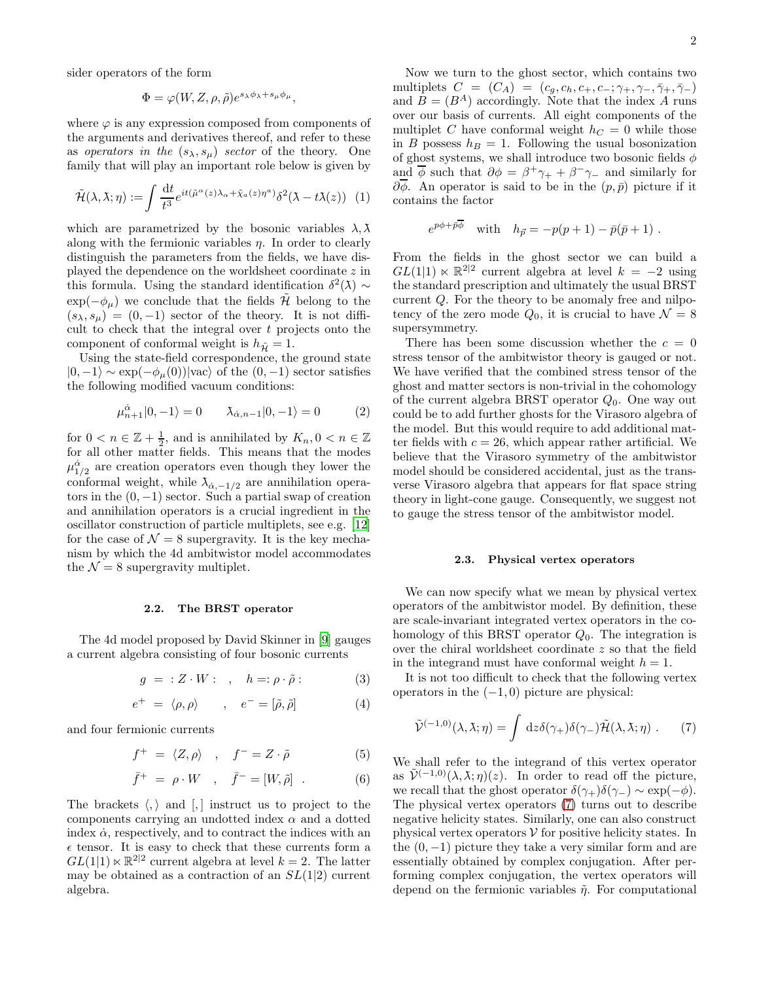sider operators of the form

$$
\Phi = \varphi(W, Z, \rho, \tilde{\rho}) e^{s_{\lambda}\phi_{\lambda} + s_{\mu}\phi_{\mu}},
$$

where  $\varphi$  is any expression composed from components of the arguments and derivatives thereof, and refer to these as operators in the  $(s_{\lambda}, s_{\mu})$  sector of the theory. One family that will play an important role below is given by

$$
\tilde{\mathcal{H}}(\lambda,\lambda;\eta) := \int \frac{\mathrm{d}t}{t^3} e^{it(\tilde{\mu}^{\alpha}(z)\lambda_{\alpha} + \tilde{\chi}_a(z)\eta^a)} \delta^2(\lambda - t\lambda(z)) \tag{1}
$$

which are parametrized by the bosonic variables  $\lambda$ ,  $\lambda$ along with the fermionic variables  $\eta$ . In order to clearly distinguish the parameters from the fields, we have displayed the dependence on the worldsheet coordinate z in this formula. Using the standard identification  $\delta^2(\lambda) \sim$  $\exp(-\phi_{\mu})$  we conclude that the fields  $\mathcal{H}$  belong to the  $(s_{\lambda}, s_{\mu}) = (0, -1)$  sector of the theory. It is not difficult to check that the integral over  $t$  projects onto the component of conformal weight is  $h_{\tilde{H}} = 1$ .

Using the state-field correspondence, the ground state  $|0,-1\rangle \sim \exp(-\phi_{\mu}(0))|\text{vac}\rangle$  of the  $(0,-1)$  sector satisfies the following modified vacuum conditions:

$$
\mu_{n+1}^{\dot{\alpha}}|0,-1\rangle = 0 \qquad \lambda_{\dot{\alpha},n-1}|0,-1\rangle = 0 \tag{2}
$$

for  $0 \lt n \in \mathbb{Z} + \frac{1}{2}$ , and is annihilated by  $K_n, 0 \lt n \in \mathbb{Z}$ for all other matter fields. This means that the modes  $\mu_{1/2}^{\dot{\alpha}}$  are creation operators even though they lower the conformal weight, while  $\lambda_{\dot{\alpha},-1/2}$  are annihilation operators in the  $(0, -1)$  sector. Such a partial swap of creation and annihilation operators is a crucial ingredient in the oscillator construction of particle multiplets, see e.g. [\[12](#page-5-4)] for the case of  $\mathcal{N} = 8$  supergravity. It is the key mechanism by which the 4d ambitwistor model accommodates the  $\mathcal{N} = 8$  supergravity multiplet.

#### 2.2. The BRST operator

The 4d model proposed by David Skinner in [\[9\]](#page-5-1) gauges a current algebra consisting of four bosonic currents

$$
g = :Z \cdot W: , \quad h = : \rho \cdot \tilde{\rho}:
$$
 (3)

$$
e^{+} = \langle \rho, \rho \rangle \qquad , \quad e^{-} = [\tilde{\rho}, \tilde{\rho}] \tag{4}
$$

and four fermionic currents

$$
f^+ = \langle Z, \rho \rangle \quad , \quad f^- = Z \cdot \tilde{\rho} \tag{5}
$$

$$
\bar{f}^+ = \rho \cdot W \quad , \quad \bar{f}^- = [W, \tilde{\rho}] \quad . \tag{6}
$$

The brackets  $\langle , \rangle$  and  $\langle , \rangle$  instruct us to project to the components carrying an undotted index  $\alpha$  and a dotted index  $\dot{\alpha}$ , respectively, and to contract the indices with an  $\epsilon$  tensor. It is easy to check that these currents form a  $GL(1,1) \ltimes \mathbb{R}^{2|2}$  current algebra at level  $k = 2$ . The latter may be obtained as a contraction of an  $SL(1|2)$  current algebra.

Now we turn to the ghost sector, which contains two multiplets  $C = (C_A) = (c_g, c_h, c_+, c_-; \gamma_+, \gamma_-, \bar{\gamma}_+, \bar{\gamma}_-)$ and  $B = (B^A)$  accordingly. Note that the index A runs over our basis of currents. All eight components of the multiplet C have conformal weight  $h<sub>C</sub> = 0$  while those in B possess  $h_B = 1$ . Following the usual bosonization of ghost systems, we shall introduce two bosonic fields  $\phi$ and  $\overline{\phi}$  such that  $\partial \phi = \beta^+ \gamma_+ + \beta^- \gamma_-$  and similarly for  $\partial \overline{\phi}$ . An operator is said to be in the  $(p, \bar{p})$  picture if it contains the factor

$$
e^{p\phi + \bar{p}\bar{\phi}}
$$
 with  $h_{\vec{p}} = -p(p+1) - \bar{p}(\bar{p}+1)$ .

From the fields in the ghost sector we can build a  $GL(1|1) \ltimes \mathbb{R}^{2|2}$  current algebra at level  $k = -2$  using the standard prescription and ultimately the usual BRST current Q. For the theory to be anomaly free and nilpotency of the zero mode  $Q_0$ , it is crucial to have  $\mathcal{N} = 8$ supersymmetry.

There has been some discussion whether the  $c = 0$ stress tensor of the ambitwistor theory is gauged or not. We have verified that the combined stress tensor of the ghost and matter sectors is non-trivial in the cohomology of the current algebra BRST operator  $Q_0$ . One way out could be to add further ghosts for the Virasoro algebra of the model. But this would require to add additional matter fields with  $c = 26$ , which appear rather artificial. We believe that the Virasoro symmetry of the ambitwistor model should be considered accidental, just as the transverse Virasoro algebra that appears for flat space string theory in light-cone gauge. Consequently, we suggest not to gauge the stress tensor of the ambitwistor model.

#### 2.3. Physical vertex operators

We can now specify what we mean by physical vertex operators of the ambitwistor model. By definition, these are scale-invariant integrated vertex operators in the cohomology of this BRST operator  $Q_0$ . The integration is over the chiral worldsheet coordinate z so that the field in the integrand must have conformal weight  $h = 1$ .

It is not too difficult to check that the following vertex operators in the  $(-1, 0)$  picture are physical:

<span id="page-1-0"></span>
$$
\tilde{\mathcal{V}}^{(-1,0)}(\lambda,\lambda;\eta) = \int \, \mathrm{d}z \delta(\gamma_+) \delta(\gamma_-) \tilde{\mathcal{H}}(\lambda,\lambda;\eta) \; . \tag{7}
$$

We shall refer to the integrand of this vertex operator as  $\tilde{\mathcal{V}}^{(-1,0)}(\lambda,\lambda;\eta)(z)$ . In order to read off the picture, we recall that the ghost operator  $\delta(\gamma_+) \delta(\gamma_-) \sim \exp(-\phi)$ . The physical vertex operators [\(7\)](#page-1-0) turns out to describe negative helicity states. Similarly, one can also construct physical vertex operators  $V$  for positive helicity states. In the  $(0, -1)$  picture they take a very similar form and are essentially obtained by complex conjugation. After performing complex conjugation, the vertex operators will depend on the fermionic variables  $\tilde{\eta}$ . For computational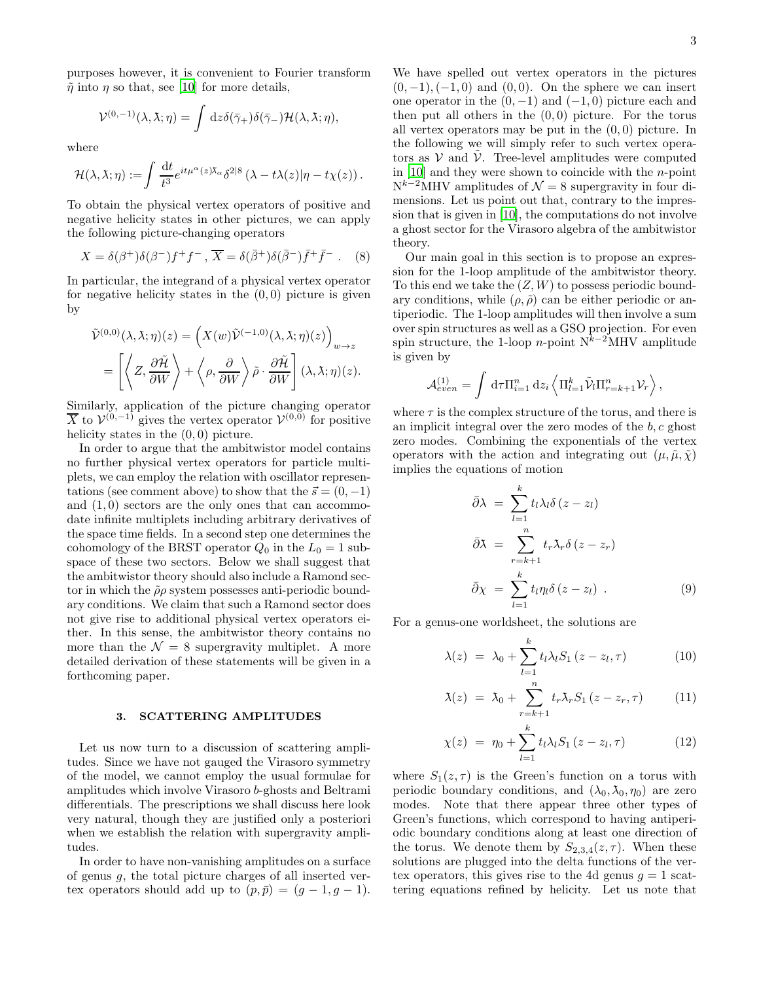purposes however, it is convenient to Fourier transform  $\tilde{\eta}$  into  $\eta$  so that, see [\[10\]](#page-5-2) for more details,

$$
\mathcal{V}^{(0,-1)}(\lambda,\lambda;\eta) = \int dz \delta(\bar{\gamma}_+) \delta(\bar{\gamma}_-) \mathcal{H}(\lambda,\lambda;\eta),
$$

where

$$
\mathcal{H}(\lambda,\lambda;\eta) := \int \frac{\mathrm{d}t}{t^3} e^{it\mu^{\alpha}(z)\lambda_{\alpha}} \delta^{2|8} \left(\lambda - t\lambda(z)|\eta - t\chi(z)\right).
$$

To obtain the physical vertex operators of positive and negative helicity states in other pictures, we can apply the following picture-changing operators

$$
X = \delta(\beta^+) \delta(\beta^-) f^+ f^- , \overline{X} = \delta(\overline{\beta}^+) \delta(\overline{\beta}^-) \overline{f}^+ \overline{f}^- .
$$
 (8)

In particular, the integrand of a physical vertex operator for negative helicity states in the  $(0, 0)$  picture is given by

$$
\tilde{\mathcal{V}}^{(0,0)}(\lambda,\lambda;\eta)(z) = \left(X(w)\tilde{\mathcal{V}}^{(-1,0)}(\lambda,\lambda;\eta)(z)\right)_{w\to z}
$$
\n
$$
= \left[\left\langle Z,\frac{\partial\tilde{\mathcal{H}}}{\partial W}\right\rangle + \left\langle \rho,\frac{\partial}{\partial W}\right\rangle \tilde{\rho}\cdot\frac{\partial\tilde{\mathcal{H}}}{\partial W}\right](\lambda,\lambda;\eta)(z).
$$

Similarly, application of the picture changing operator  $\overline{X}$  to  $\mathcal{V}^{(0,-1)}$  gives the vertex operator  $\mathcal{V}^{(0,0)}$  for positive helicity states in the  $(0, 0)$  picture.

In order to argue that the ambitwistor model contains no further physical vertex operators for particle multiplets, we can employ the relation with oscillator representations (see comment above) to show that the  $\vec{s} = (0, -1)$ and  $(1,0)$  sectors are the only ones that can accommodate infinite multiplets including arbitrary derivatives of the space time fields. In a second step one determines the cohomology of the BRST operator  $Q_0$  in the  $L_0 = 1$  subspace of these two sectors. Below we shall suggest that the ambitwistor theory should also include a Ramond sector in which the  $\tilde{\rho}\rho$  system possesses anti-periodic boundary conditions. We claim that such a Ramond sector does not give rise to additional physical vertex operators either. In this sense, the ambitwistor theory contains no more than the  $\mathcal{N} = 8$  supergravity multiplet. A more detailed derivation of these statements will be given in a forthcoming paper.

# 3. SCATTERING AMPLITUDES

Let us now turn to a discussion of scattering amplitudes. Since we have not gauged the Virasoro symmetry of the model, we cannot employ the usual formulae for amplitudes which involve Virasoro b-ghosts and Beltrami differentials. The prescriptions we shall discuss here look very natural, though they are justified only a posteriori when we establish the relation with supergravity amplitudes.

In order to have non-vanishing amplitudes on a surface of genus  $q$ , the total picture charges of all inserted vertex operators should add up to  $(p, \bar{p}) = (g - 1, g - 1)$ .

We have spelled out vertex operators in the pictures  $(0, -1), (-1, 0)$  and  $(0, 0)$ . On the sphere we can insert one operator in the  $(0, -1)$  and  $(-1, 0)$  picture each and then put all others in the  $(0, 0)$  picture. For the torus all vertex operators may be put in the  $(0, 0)$  picture. In the following we will simply refer to such vertex operators as  $V$  and  $\tilde{V}$ . Tree-level amplitudes were computed in  $[10]$  and they were shown to coincide with the *n*-point  $N^{k-2}$ MHV amplitudes of  $\mathcal{N}=8$  supergravity in four dimensions. Let us point out that, contrary to the impression that is given in [\[10\]](#page-5-2), the computations do not involve a ghost sector for the Virasoro algebra of the ambitwistor theory.

Our main goal in this section is to propose an expression for the 1-loop amplitude of the ambitwistor theory. To this end we take the  $(Z, W)$  to possess periodic boundary conditions, while  $(\rho, \tilde{\rho})$  can be either periodic or antiperiodic. The 1-loop amplitudes will then involve a sum over spin structures as well as a GSO projection. For even spin structure, the 1-loop n-point  $N^{k-2}$ MHV amplitude is given by

$$
\mathcal{A}_{even}^{(1)} = \int d\tau \Pi_{i=1}^n dz_i \left\langle \Pi_{l=1}^k \tilde{\mathcal{V}}_l \Pi_{r=k+1}^n \mathcal{V}_r \right\rangle,
$$

where  $\tau$  is the complex structure of the torus, and there is an implicit integral over the zero modes of the  $b, c$  ghost zero modes. Combining the exponentials of the vertex operators with the action and integrating out  $(\mu, \tilde{\mu}, \tilde{\chi})$ implies the equations of motion

$$
\bar{\partial}\lambda = \sum_{l=1}^{k} t_l \lambda_l \delta(z - z_l)
$$

$$
\bar{\partial}\lambda = \sum_{r=k+1}^{n} t_r \lambda_r \delta(z - z_r)
$$

$$
\bar{\partial}\chi = \sum_{l=1}^{k} t_l \eta_l \delta(z - z_l) . \tag{9}
$$

For a genus-one worldsheet, the solutions are

<span id="page-2-0"></span>
$$
\lambda(z) = \lambda_0 + \sum_{l=1}^{k} t_l \lambda_l S_1 (z - z_l, \tau) \tag{10}
$$

$$
\lambda(z) = \lambda_0 + \sum_{r=k+1}^n t_r \lambda_r S_1 (z - z_r, \tau) \qquad (11)
$$

$$
\chi(z) = \eta_0 + \sum_{l=1}^{k} t_l \lambda_l S_1 (z - z_l, \tau) \tag{12}
$$

where  $S_1(z, \tau)$  is the Green's function on a torus with periodic boundary conditions, and  $(\lambda_0, \lambda_0, \eta_0)$  are zero modes. Note that there appear three other types of Green's functions, which correspond to having antiperiodic boundary conditions along at least one direction of the torus. We denote them by  $S_{2,3,4}(z,\tau)$ . When these solutions are plugged into the delta functions of the vertex operators, this gives rise to the 4d genus  $q = 1$  scattering equations refined by helicity. Let us note that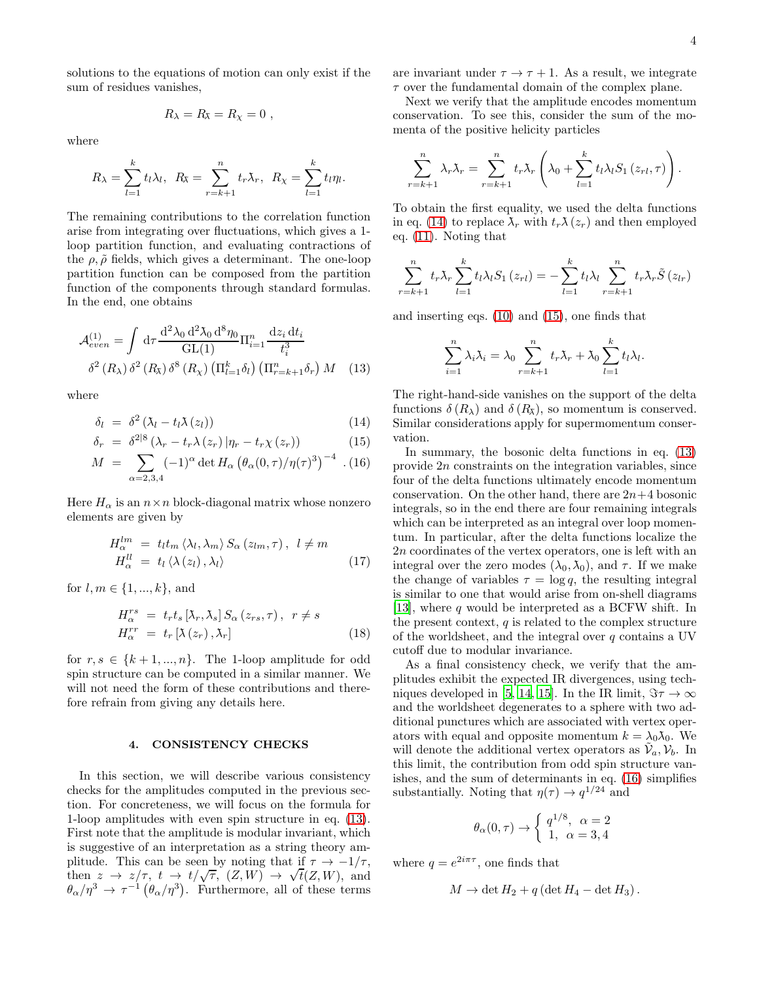solutions to the equations of motion can only exist if the sum of residues vanishes,

$$
R_{\lambda}=R_{\lambda}=R_{\chi}=0,
$$

where

$$
R_{\lambda} = \sum_{l=1}^{k} t_l \lambda_l, \ \ R_{\lambda} = \sum_{r=k+1}^{n} t_r \lambda_r, \ \ R_{\lambda} = \sum_{l=1}^{k} t_l \eta_l.
$$

The remaining contributions to the correlation function arise from integrating over fluctuations, which gives a 1 loop partition function, and evaluating contractions of the  $\rho$ ,  $\tilde{\rho}$  fields, which gives a determinant. The one-loop partition function can be composed from the partition function of the components through standard formulas. In the end, one obtains

$$
\mathcal{A}_{even}^{(1)} = \int d\tau \frac{\mathrm{d}^2 \lambda_0 \, \mathrm{d}^2 \lambda_0 \, \mathrm{d}^8 \eta_0}{\mathrm{GL}(1)} \Pi_{i=1}^n \frac{\mathrm{d} z_i \, \mathrm{d} t_i}{t_i^3}
$$

$$
\delta^2 \left( R_\lambda \right) \delta^2 \left( R_\lambda \right) \delta^8 \left( R_\lambda \right) \left( \Pi_{l=1}^k \delta_l \right) \left( \Pi_{r=k+1}^n \delta_r \right) M \quad (13)
$$

where

<span id="page-3-1"></span>
$$
\delta_l = \delta^2 (\lambda_l - t_l \lambda(z_l)) \tag{14}
$$

$$
\delta_r = \delta^{2|8} \left( \lambda_r - t_r \lambda \left( z_r \right) \left| \eta_r - t_r \chi \left( z_r \right) \right) \right) \tag{15}
$$

$$
M = \sum_{\alpha=2,3,4} (-1)^{\alpha} \det H_{\alpha} (\theta_{\alpha}(0,\tau)/\eta(\tau)^{3})^{-4} . (16)
$$

Here  $H_{\alpha}$  is an  $n \times n$  block-diagonal matrix whose nonzero elements are given by

$$
H_{\alpha}^{lm} = t_l t_m \langle \lambda_l, \lambda_m \rangle S_{\alpha}(z_{lm}, \tau), \quad l \neq m
$$
  

$$
H_{\alpha}^{ll} = t_l \langle \lambda(z_l), \lambda_l \rangle
$$
 (17)

for  $l, m \in \{1, ..., k\}$ , and

$$
H_{\alpha}^{rs} = t_r t_s \left[ \lambda_r, \lambda_s \right] S_{\alpha} \left( z_{rs}, \tau \right), \ \ r \neq s
$$
  

$$
H_{\alpha}^{rr} = t_r \left[ \lambda \left( z_r \right), \lambda_r \right] \tag{18}
$$

for  $r, s \in \{k+1, ..., n\}$ . The 1-loop amplitude for odd spin structure can be computed in a similar manner. We will not need the form of these contributions and therefore refrain from giving any details here.

#### 4. CONSISTENCY CHECKS

In this section, we will describe various consistency checks for the amplitudes computed in the previous section. For concreteness, we will focus on the formula for 1-loop amplitudes with even spin structure in eq. [\(13\)](#page-3-0). First note that the amplitude is modular invariant, which is suggestive of an interpretation as a string theory amplitude. This can be seen by noting that if  $\tau \to -1/\tau$ , then  $z \to z/\tau$ ,  $t \to t/\sqrt{\tau}$ ,  $(Z, W) \to \sqrt{t}(Z, W)$ , and  $\theta_{\alpha}/\eta^3 \to \tau^{-1} (\theta_{\alpha}/\eta^3)$ . Furthermore, all of these terms

are invariant under  $\tau \to \tau + 1$ . As a result, we integrate  $\tau$  over the fundamental domain of the complex plane.

Next we verify that the amplitude encodes momentum conservation. To see this, consider the sum of the momenta of the positive helicity particles

$$
\sum_{r=k+1}^n \lambda_r \lambda_r = \sum_{r=k+1}^n t_r \lambda_r \left( \lambda_0 + \sum_{l=1}^k t_l \lambda_l S_1 \left( z_{rl}, \tau \right) \right).
$$

To obtain the first equality, we used the delta functions in eq. [\(14\)](#page-3-1) to replace  $\lambda_r$  with  $t_r \lambda(z_r)$  and then employed eq. [\(11\)](#page-2-0). Noting that

$$
\sum_{r=k+1}^{n} t_r \lambda_r \sum_{l=1}^{k} t_l \lambda_l S_1(z_{rl}) = -\sum_{l=1}^{k} t_l \lambda_l \sum_{r=k+1}^{n} t_r \lambda_r \tilde{S}(z_{lr})
$$

and inserting eqs. [\(10\)](#page-2-0) and [\(15\)](#page-3-1), one finds that

$$
\sum_{i=1}^{n} \lambda_i \lambda_i = \lambda_0 \sum_{r=k+1}^{n} t_r \lambda_r + \lambda_0 \sum_{l=1}^{k} t_l \lambda_l.
$$

<span id="page-3-0"></span>The right-hand-side vanishes on the support of the delta functions  $\delta(R_\lambda)$  and  $\delta(R_\lambda)$ , so momentum is conserved. Similar considerations apply for supermomentum conservation.

In summary, the bosonic delta functions in eq. [\(13\)](#page-3-0) provide 2n constraints on the integration variables, since four of the delta functions ultimately encode momentum conservation. On the other hand, there are  $2n+4$  bosonic integrals, so in the end there are four remaining integrals which can be interpreted as an integral over loop momentum. In particular, after the delta functions localize the 2n coordinates of the vertex operators, one is left with an integral over the zero modes  $(\lambda_0, \lambda_0)$ , and  $\tau$ . If we make the change of variables  $\tau = \log q$ , the resulting integral is similar to one that would arise from on-shell diagrams [\[13\]](#page-5-5), where q would be interpreted as a BCFW shift. In the present context,  $q$  is related to the complex structure of the worldsheet, and the integral over  $q$  contains a UV cutoff due to modular invariance.

As a final consistency check, we verify that the amplitudes exhibit the expected IR divergences, using tech-niques developed in [\[5,](#page-4-5) [14,](#page-5-6) [15\]](#page-5-7). In the IR limit,  $\Im \tau \to \infty$ and the worldsheet degenerates to a sphere with two additional punctures which are associated with vertex operators with equal and opposite momentum  $k = \lambda_0 \lambda_0$ . We will denote the additional vertex operators as  $\tilde{\mathcal{V}}_a, \mathcal{V}_b$ . In this limit, the contribution from odd spin structure vanishes, and the sum of determinants in eq. [\(16\)](#page-3-1) simplifies substantially. Noting that  $\eta(\tau) \to q^{1/24}$  and

$$
\theta_{\alpha}(0,\tau) \rightarrow \begin{cases} q^{1/8}, & \alpha = 2\\ 1, & \alpha = 3,4 \end{cases}
$$

where  $q = e^{2i\pi\tau}$ , one finds that

$$
M \to \det H_2 + q \left( \det H_4 - \det H_3 \right).
$$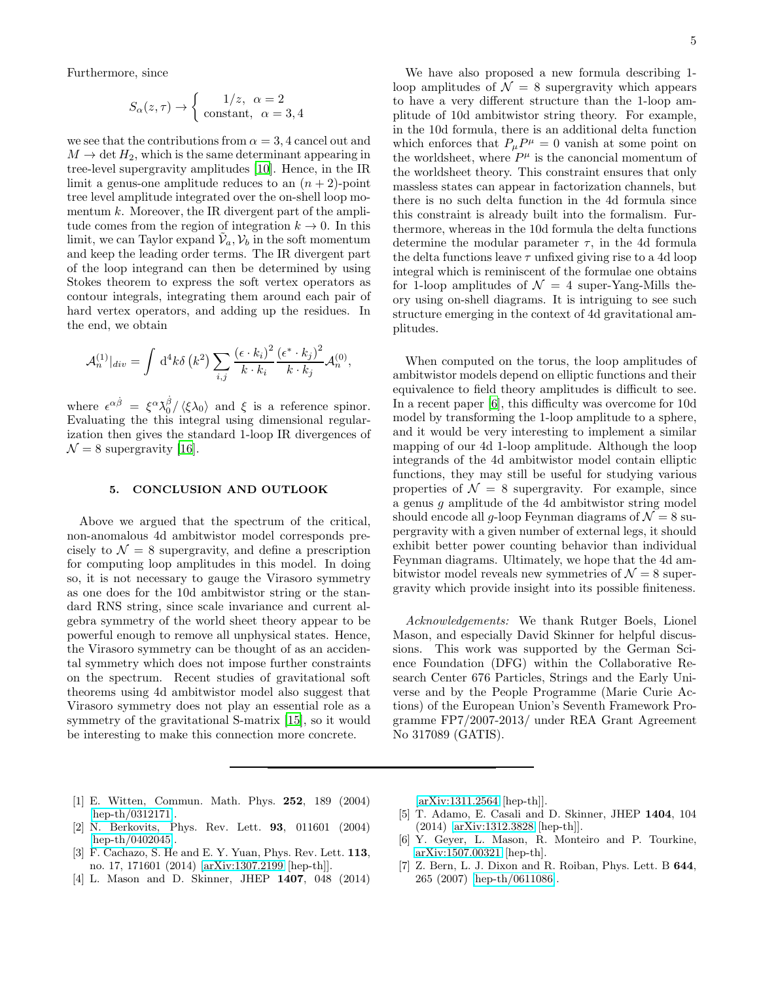Furthermore, since

$$
S_{\alpha}(z,\tau) \rightarrow \begin{cases} 1/z, & \alpha = 2 \\ \text{constant}, & \alpha = 3, 4 \end{cases}
$$

we see that the contributions from  $\alpha = 3, 4$  cancel out and  $M \to \text{det } H_2$ , which is the same determinant appearing in tree-level supergravity amplitudes [\[10\]](#page-5-2). Hence, in the IR limit a genus-one amplitude reduces to an  $(n + 2)$ -point tree level amplitude integrated over the on-shell loop momentum  $k$ . Moreover, the IR divergent part of the amplitude comes from the region of integration  $k \to 0$ . In this limit, we can Taylor expand  $\tilde{\mathcal{V}}_a, \mathcal{V}_b$  in the soft momentum and keep the leading order terms. The IR divergent part of the loop integrand can then be determined by using Stokes theorem to express the soft vertex operators as contour integrals, integrating them around each pair of hard vertex operators, and adding up the residues. In the end, we obtain

$$
\mathcal{A}_n^{(1)}|_{div} = \int d^4k \delta(k^2) \sum_{i,j} \frac{(\epsilon \cdot k_i)^2}{k \cdot k_i} \frac{(\epsilon^* \cdot k_j)^2}{k \cdot k_j} \mathcal{A}_n^{(0)},
$$

where  $\epsilon^{\alpha\dot{\beta}} = \xi^{\alpha}\lambda_0^{\dot{\beta}}/\langle\xi\lambda_0\rangle$  and  $\xi$  is a reference spinor. Evaluating the this integral using dimensional regularization then gives the standard 1-loop IR divergences of  $\mathcal{N} = 8$  supergravity [\[16\]](#page-5-8).

## 5. CONCLUSION AND OUTLOOK

Above we argued that the spectrum of the critical, non-anomalous 4d ambitwistor model corresponds precisely to  $\mathcal{N} = 8$  supergravity, and define a prescription for computing loop amplitudes in this model. In doing so, it is not necessary to gauge the Virasoro symmetry as one does for the 10d ambitwistor string or the standard RNS string, since scale invariance and current algebra symmetry of the world sheet theory appear to be powerful enough to remove all unphysical states. Hence, the Virasoro symmetry can be thought of as an accidental symmetry which does not impose further constraints on the spectrum. Recent studies of gravitational soft theorems using 4d ambitwistor model also suggest that Virasoro symmetry does not play an essential role as a symmetry of the gravitational S-matrix [\[15](#page-5-7)], so it would be interesting to make this connection more concrete.

We have also proposed a new formula describing 1 loop amplitudes of  $\mathcal{N} = 8$  supergravity which appears to have a very different structure than the 1-loop amplitude of 10d ambitwistor string theory. For example, in the 10d formula, there is an additional delta function which enforces that  $P_{\mu}P^{\mu} = 0$  vanish at some point on the worldsheet, where  $P^{\mu}$  is the canoncial momentum of the worldsheet theory. This constraint ensures that only massless states can appear in factorization channels, but there is no such delta function in the 4d formula since this constraint is already built into the formalism. Furthermore, whereas in the 10d formula the delta functions determine the modular parameter  $\tau$ , in the 4d formula the delta functions leave  $\tau$  unfixed giving rise to a 4d loop integral which is reminiscent of the formulae one obtains for 1-loop amplitudes of  $\mathcal{N} = 4$  super-Yang-Mills theory using on-shell diagrams. It is intriguing to see such structure emerging in the context of 4d gravitational amplitudes.

When computed on the torus, the loop amplitudes of ambitwistor models depend on elliptic functions and their equivalence to field theory amplitudes is difficult to see. In a recent paper [\[6\]](#page-4-3), this difficulty was overcome for 10d model by transforming the 1-loop amplitude to a sphere, and it would be very interesting to implement a similar mapping of our 4d 1-loop amplitude. Although the loop integrands of the 4d ambitwistor model contain elliptic functions, they may still be useful for studying various properties of  $\mathcal{N} = 8$  supergravity. For example, since a genus  $q$  amplitude of the 4d ambitwistor string model should encode all g-loop Feynman diagrams of  $\mathcal{N} = 8$  supergravity with a given number of external legs, it should exhibit better power counting behavior than individual Feynman diagrams. Ultimately, we hope that the 4d ambitwistor model reveals new symmetries of  $\mathcal{N}=8$  supergravity which provide insight into its possible finiteness.

Acknowledgements: We thank Rutger Boels, Lionel Mason, and especially David Skinner for helpful discussions. This work was supported by the German Science Foundation (DFG) within the Collaborative Research Center 676 Particles, Strings and the Early Universe and by the People Programme (Marie Curie Actions) of the European Union's Seventh Framework Programme FP7/2007-2013/ under REA Grant Agreement No 317089 (GATIS).

- <span id="page-4-0"></span>[1] E. Witten, Commun. Math. Phys. 252, 189 (2004) [\[hep-th/0312171\]](http://arxiv.org/abs/hep-th/0312171).
- <span id="page-4-1"></span>[2] N. Berkovits, Phys. Rev. Lett. 93, 011601 (2004) [\[hep-th/0402045\]](http://arxiv.org/abs/hep-th/0402045).
- <span id="page-4-2"></span>[3] F. Cachazo, S. He and E. Y. Yuan, Phys. Rev. Lett. 113, no. 17, 171601 (2014) [\[arXiv:1307.2199](http://arxiv.org/abs/1307.2199) [hep-th]].
- [4] L. Mason and D. Skinner, JHEP 1407, 048 (2014)

[\[arXiv:1311.2564](http://arxiv.org/abs/1311.2564) [hep-th]].

- <span id="page-4-5"></span>[5] T. Adamo, E. Casali and D. Skinner, JHEP 1404, 104 (2014) [\[arXiv:1312.3828](http://arxiv.org/abs/1312.3828) [hep-th]].
- <span id="page-4-3"></span>[6] Y. Geyer, L. Mason, R. Monteiro and P. Tourkine, [arXiv:1507.00321](http://arxiv.org/abs/1507.00321) [hep-th].
- <span id="page-4-4"></span>[7] Z. Bern, L. J. Dixon and R. Roiban, Phys. Lett. B 644, 265 (2007) [\[hep-th/0611086\]](http://arxiv.org/abs/hep-th/0611086).